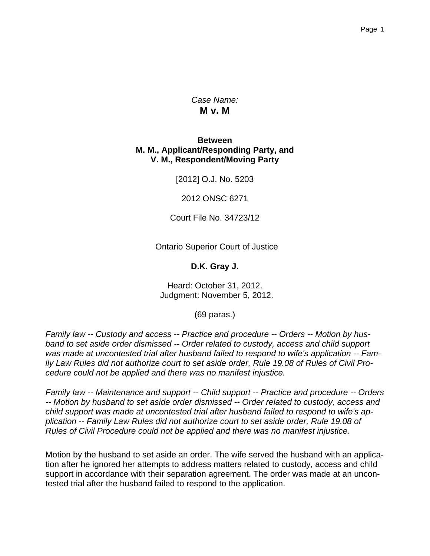*Case Name:* **M v. M**

#### **Between M. M., Applicant/Responding Party, and V. M., Respondent/Moving Party**

[2012] O.J. No. 5203

2012 ONSC 6271

Court File No. 34723/12

Ontario Superior Court of Justice

**D.K. Gray J.**

Heard: October 31, 2012. Judgment: November 5, 2012.

(69 paras.)

*Family law -- Custody and access -- Practice and procedure -- Orders -- Motion by husband to set aside order dismissed -- Order related to custody, access and child support was made at uncontested trial after husband failed to respond to wife's application -- Family Law Rules did not authorize court to set aside order, Rule 19.08 of Rules of Civil Procedure could not be applied and there was no manifest injustice.*

*Family law -- Maintenance and support -- Child support -- Practice and procedure -- Orders -- Motion by husband to set aside order dismissed -- Order related to custody, access and child support was made at uncontested trial after husband failed to respond to wife's application -- Family Law Rules did not authorize court to set aside order, Rule 19.08 of Rules of Civil Procedure could not be applied and there was no manifest injustice.*

Motion by the husband to set aside an order. The wife served the husband with an application after he ignored her attempts to address matters related to custody, access and child support in accordance with their separation agreement. The order was made at an uncontested trial after the husband failed to respond to the application.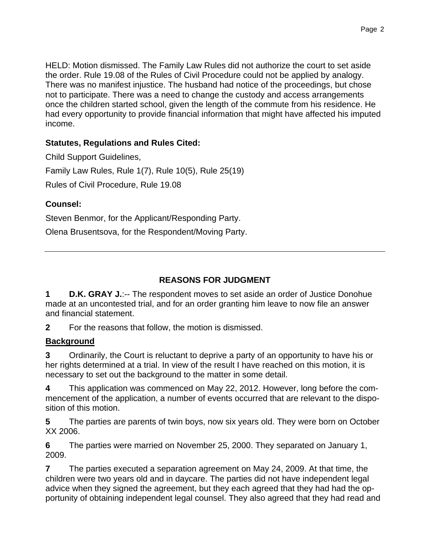HELD: Motion dismissed. The Family Law Rules did not authorize the court to set aside the order. Rule 19.08 of the Rules of Civil Procedure could not be applied by analogy. There was no manifest injustice. The husband had notice of the proceedings, but chose not to participate. There was a need to change the custody and access arrangements once the children started school, given the length of the commute from his residence. He had every opportunity to provide financial information that might have affected his imputed income.

## **Statutes, Regulations and Rules Cited:**

Child Support Guidelines, Family Law Rules, Rule 1(7), Rule 10(5), Rule 25(19) Rules of Civil Procedure, Rule 19.08

### **Counsel:**

Steven Benmor, for the Applicant/Responding Party.

Olena Brusentsova, for the Respondent/Moving Party.

## **REASONS FOR JUDGMENT**

**1 D.K. GRAY J.:-- The respondent moves to set aside an order of Justice Donohue** made at an uncontested trial, and for an order granting him leave to now file an answer and financial statement.

**2** For the reasons that follow, the motion is dismissed.

### **Background**

**3** Ordinarily, the Court is reluctant to deprive a party of an opportunity to have his or her rights determined at a trial. In view of the result I have reached on this motion, it is necessary to set out the background to the matter in some detail.

**4** This application was commenced on May 22, 2012. However, long before the commencement of the application, a number of events occurred that are relevant to the disposition of this motion.

**5** The parties are parents of twin boys, now six years old. They were born on October XX 2006.

**6** The parties were married on November 25, 2000. They separated on January 1, 2009.

**7** The parties executed a separation agreement on May 24, 2009. At that time, the children were two years old and in daycare. The parties did not have independent legal advice when they signed the agreement, but they each agreed that they had had the opportunity of obtaining independent legal counsel. They also agreed that they had read and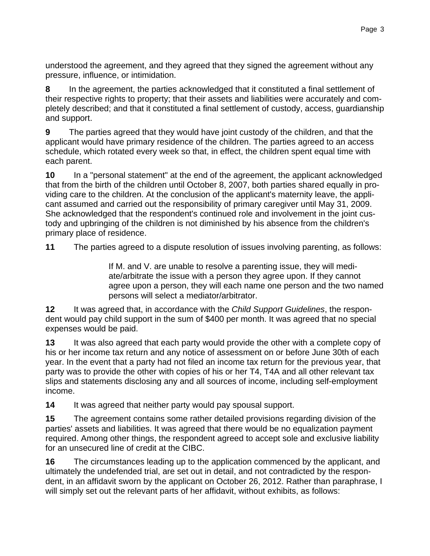understood the agreement, and they agreed that they signed the agreement without any pressure, influence, or intimidation.

**8** In the agreement, the parties acknowledged that it constituted a final settlement of their respective rights to property; that their assets and liabilities were accurately and completely described; and that it constituted a final settlement of custody, access, guardianship and support.

**9** The parties agreed that they would have joint custody of the children, and that the applicant would have primary residence of the children. The parties agreed to an access schedule, which rotated every week so that, in effect, the children spent equal time with each parent.

**10** In a "personal statement" at the end of the agreement, the applicant acknowledged that from the birth of the children until October 8, 2007, both parties shared equally in providing care to the children. At the conclusion of the applicant's maternity leave, the applicant assumed and carried out the responsibility of primary caregiver until May 31, 2009. She acknowledged that the respondent's continued role and involvement in the joint custody and upbringing of the children is not diminished by his absence from the children's primary place of residence.

**11** The parties agreed to a dispute resolution of issues involving parenting, as follows:

 If M. and V. are unable to resolve a parenting issue, they will mediate/arbitrate the issue with a person they agree upon. If they cannot agree upon a person, they will each name one person and the two named persons will select a mediator/arbitrator.

**12** It was agreed that, in accordance with the *Child Support Guidelines*, the respondent would pay child support in the sum of \$400 per month. It was agreed that no special expenses would be paid.

**13** It was also agreed that each party would provide the other with a complete copy of his or her income tax return and any notice of assessment on or before June 30th of each year. In the event that a party had not filed an income tax return for the previous year, that party was to provide the other with copies of his or her T4, T4A and all other relevant tax slips and statements disclosing any and all sources of income, including self-employment income.

**14** It was agreed that neither party would pay spousal support.

**15** The agreement contains some rather detailed provisions regarding division of the parties' assets and liabilities. It was agreed that there would be no equalization payment required. Among other things, the respondent agreed to accept sole and exclusive liability for an unsecured line of credit at the CIBC.

**16** The circumstances leading up to the application commenced by the applicant, and ultimately the undefended trial, are set out in detail, and not contradicted by the respondent, in an affidavit sworn by the applicant on October 26, 2012. Rather than paraphrase, I will simply set out the relevant parts of her affidavit, without exhibits, as follows: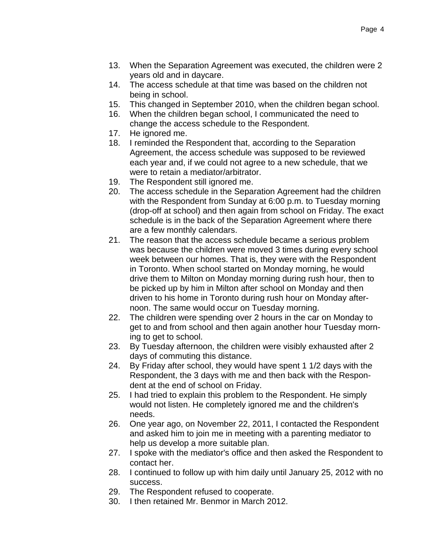- 13. When the Separation Agreement was executed, the children were 2 years old and in daycare.
- 14. The access schedule at that time was based on the children not being in school.
- 15. This changed in September 2010, when the children began school.
- 16. When the children began school, I communicated the need to change the access schedule to the Respondent.
- 17. He ignored me.
- 18. I reminded the Respondent that, according to the Separation Agreement, the access schedule was supposed to be reviewed each year and, if we could not agree to a new schedule, that we were to retain a mediator/arbitrator.
- 19. The Respondent still ignored me.
- 20. The access schedule in the Separation Agreement had the children with the Respondent from Sunday at 6:00 p.m. to Tuesday morning (drop-off at school) and then again from school on Friday. The exact schedule is in the back of the Separation Agreement where there are a few monthly calendars.
- 21. The reason that the access schedule became a serious problem was because the children were moved 3 times during every school week between our homes. That is, they were with the Respondent in Toronto. When school started on Monday morning, he would drive them to Milton on Monday morning during rush hour, then to be picked up by him in Milton after school on Monday and then driven to his home in Toronto during rush hour on Monday afternoon. The same would occur on Tuesday morning.
- 22. The children were spending over 2 hours in the car on Monday to get to and from school and then again another hour Tuesday morning to get to school.
- 23. By Tuesday afternoon, the children were visibly exhausted after 2 days of commuting this distance.
- 24. By Friday after school, they would have spent 1 1/2 days with the Respondent, the 3 days with me and then back with the Respondent at the end of school on Friday.
- 25. I had tried to explain this problem to the Respondent. He simply would not listen. He completely ignored me and the children's needs.
- 26. One year ago, on November 22, 2011, I contacted the Respondent and asked him to join me in meeting with a parenting mediator to help us develop a more suitable plan.
- 27. I spoke with the mediator's office and then asked the Respondent to contact her.
- 28. I continued to follow up with him daily until January 25, 2012 with no success.
- 29. The Respondent refused to cooperate.
- 30. I then retained Mr. Benmor in March 2012.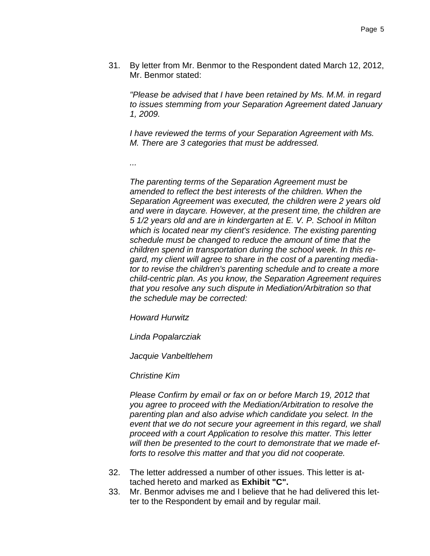31. By letter from Mr. Benmor to the Respondent dated March 12, 2012, Mr. Benmor stated:

*"Please be advised that I have been retained by Ms. M.M. in regard to issues stemming from your Separation Agreement dated January 1, 2009.*

*I have reviewed the terms of your Separation Agreement with Ms. M. There are 3 categories that must be addressed.*

*...*

*The parenting terms of the Separation Agreement must be amended to reflect the best interests of the children. When the Separation Agreement was executed, the children were 2 years old and were in daycare. However, at the present time, the children are 5 1/2 years old and are in kindergarten at E. V. P. School in Milton which is located near my client's residence. The existing parenting schedule must be changed to reduce the amount of time that the children spend in transportation during the school week. In this regard, my client will agree to share in the cost of a parenting mediator to revise the children's parenting schedule and to create a more child-centric plan. As you know, the Separation Agreement requires that you resolve any such dispute in Mediation/Arbitration so that the schedule may be corrected:* 

*Howard Hurwitz*

*Linda Popalarcziak*

*Jacquie Vanbeltlehem*

*Christine Kim*

*Please Confirm by email or fax on or before March 19, 2012 that you agree to proceed with the Mediation/Arbitration to resolve the parenting plan and also advise which candidate you select. In the event that we do not secure your agreement in this regard, we shall proceed with a court Application to resolve this matter. This letter will then be presented to the court to demonstrate that we made efforts to resolve this matter and that you did not cooperate.*

- 32. The letter addressed a number of other issues. This letter is attached hereto and marked as **Exhibit "C".**
- 33. Mr. Benmor advises me and I believe that he had delivered this letter to the Respondent by email and by regular mail.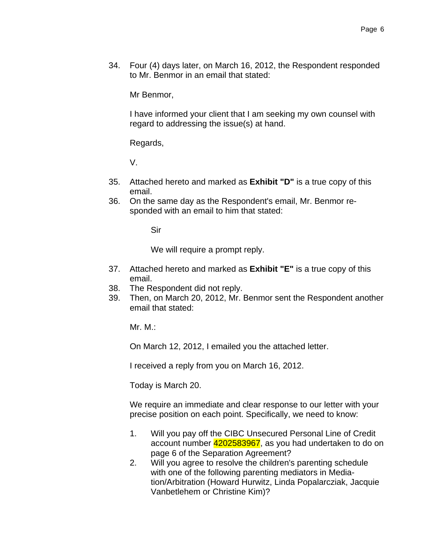34. Four (4) days later, on March 16, 2012, the Respondent responded to Mr. Benmor in an email that stated:

Mr Benmor,

 I have informed your client that I am seeking my own counsel with regard to addressing the issue(s) at hand.

Regards,

V.

- 35. Attached hereto and marked as **Exhibit "D"** is a true copy of this email.
- 36. On the same day as the Respondent's email, Mr. Benmor responded with an email to him that stated:

Sir

We will require a prompt reply.

- 37. Attached hereto and marked as **Exhibit "E"** is a true copy of this email.
- 38. The Respondent did not reply.
- 39. Then, on March 20, 2012, Mr. Benmor sent the Respondent another email that stated:

Mr. M.:

On March 12, 2012, I emailed you the attached letter.

I received a reply from you on March 16, 2012.

Today is March 20.

 We require an immediate and clear response to our letter with your precise position on each point. Specifically, we need to know:

- 1. Will you pay off the CIBC Unsecured Personal Line of Credit account number 4202583967, as you had undertaken to do on page 6 of the Separation Agreement?
- 2. Will you agree to resolve the children's parenting schedule with one of the following parenting mediators in Mediation/Arbitration (Howard Hurwitz, Linda Popalarcziak, Jacquie Vanbetlehem or Christine Kim)?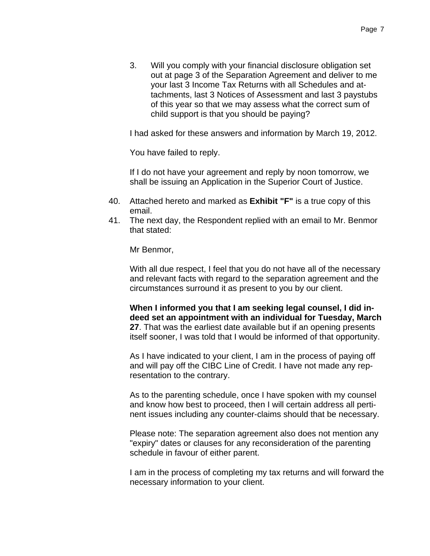3. Will you comply with your financial disclosure obligation set out at page 3 of the Separation Agreement and deliver to me your last 3 Income Tax Returns with all Schedules and attachments, last 3 Notices of Assessment and last 3 paystubs of this year so that we may assess what the correct sum of child support is that you should be paying?

I had asked for these answers and information by March 19, 2012.

You have failed to reply.

 If I do not have your agreement and reply by noon tomorrow, we shall be issuing an Application in the Superior Court of Justice.

- 40. Attached hereto and marked as **Exhibit "F"** is a true copy of this email.
- 41. The next day, the Respondent replied with an email to Mr. Benmor that stated:

Mr Benmor,

 With all due respect, I feel that you do not have all of the necessary and relevant facts with regard to the separation agreement and the circumstances surround it as present to you by our client.

**When I informed you that I am seeking legal counsel, I did indeed set an appointment with an individual for Tuesday, March 27**. That was the earliest date available but if an opening presents itself sooner, I was told that I would be informed of that opportunity.

 As I have indicated to your client, I am in the process of paying off and will pay off the CIBC Line of Credit. I have not made any representation to the contrary.

 As to the parenting schedule, once I have spoken with my counsel and know how best to proceed, then I will certain address all pertinent issues including any counter-claims should that be necessary.

 Please note: The separation agreement also does not mention any "expiry" dates or clauses for any reconsideration of the parenting schedule in favour of either parent.

 I am in the process of completing my tax returns and will forward the necessary information to your client.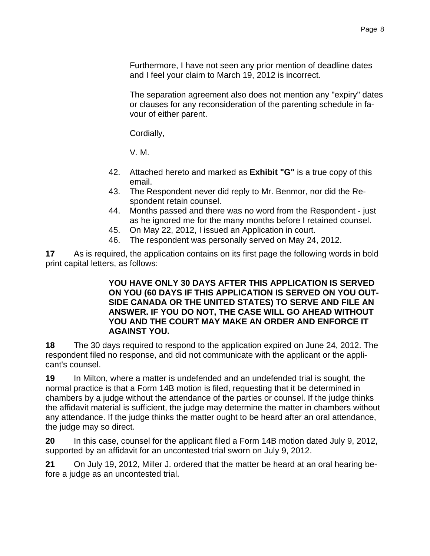Furthermore, I have not seen any prior mention of deadline dates and I feel your claim to March 19, 2012 is incorrect.

 The separation agreement also does not mention any "expiry" dates or clauses for any reconsideration of the parenting schedule in favour of either parent.

Cordially,

V. M.

- 42. Attached hereto and marked as **Exhibit "G"** is a true copy of this email.
- 43. The Respondent never did reply to Mr. Benmor, nor did the Respondent retain counsel.
- 44. Months passed and there was no word from the Respondent just as he ignored me for the many months before I retained counsel.
- 45. On May 22, 2012, I issued an Application in court.
- 46. The respondent was personally served on May 24, 2012.

**17** As is required, the application contains on its first page the following words in bold print capital letters, as follows:

#### **YOU HAVE ONLY 30 DAYS AFTER THIS APPLICATION IS SERVED ON YOU (60 DAYS IF THIS APPLICATION IS SERVED ON YOU OUT-SIDE CANADA OR THE UNITED STATES) TO SERVE AND FILE AN ANSWER. IF YOU DO NOT, THE CASE WILL GO AHEAD WITHOUT YOU AND THE COURT MAY MAKE AN ORDER AND ENFORCE IT AGAINST YOU.**

**18** The 30 days required to respond to the application expired on June 24, 2012. The respondent filed no response, and did not communicate with the applicant or the applicant's counsel.

**19** In Milton, where a matter is undefended and an undefended trial is sought, the normal practice is that a Form 14B motion is filed, requesting that it be determined in chambers by a judge without the attendance of the parties or counsel. If the judge thinks the affidavit material is sufficient, the judge may determine the matter in chambers without any attendance. If the judge thinks the matter ought to be heard after an oral attendance, the judge may so direct.

**20** In this case, counsel for the applicant filed a Form 14B motion dated July 9, 2012, supported by an affidavit for an uncontested trial sworn on July 9, 2012.

**21** On July 19, 2012, Miller J. ordered that the matter be heard at an oral hearing before a judge as an uncontested trial.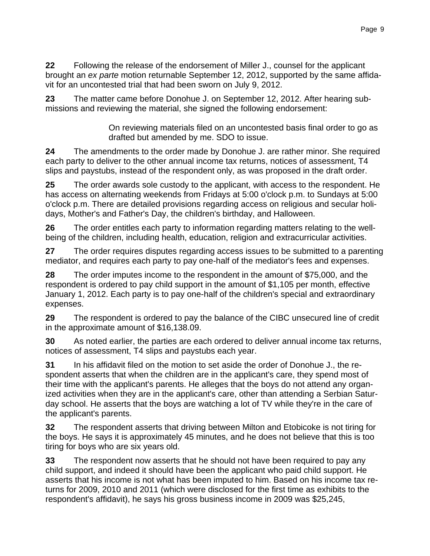**22** Following the release of the endorsement of Miller J., counsel for the applicant brought an *ex parte* motion returnable September 12, 2012, supported by the same affidavit for an uncontested trial that had been sworn on July 9, 2012.

**23** The matter came before Donohue J. on September 12, 2012. After hearing submissions and reviewing the material, she signed the following endorsement:

> On reviewing materials filed on an uncontested basis final order to go as drafted but amended by me. SDO to issue.

**24** The amendments to the order made by Donohue J. are rather minor. She required each party to deliver to the other annual income tax returns, notices of assessment, T4 slips and paystubs, instead of the respondent only, as was proposed in the draft order.

**25** The order awards sole custody to the applicant, with access to the respondent. He has access on alternating weekends from Fridays at 5:00 o'clock p.m. to Sundays at 5:00 o'clock p.m. There are detailed provisions regarding access on religious and secular holidays, Mother's and Father's Day, the children's birthday, and Halloween.

**26** The order entitles each party to information regarding matters relating to the wellbeing of the children, including health, education, religion and extracurricular activities.

**27** The order requires disputes regarding access issues to be submitted to a parenting mediator, and requires each party to pay one-half of the mediator's fees and expenses.

**28** The order imputes income to the respondent in the amount of \$75,000, and the respondent is ordered to pay child support in the amount of \$1,105 per month, effective January 1, 2012. Each party is to pay one-half of the children's special and extraordinary expenses.

**29** The respondent is ordered to pay the balance of the CIBC unsecured line of credit in the approximate amount of \$16,138.09.

**30** As noted earlier, the parties are each ordered to deliver annual income tax returns, notices of assessment, T4 slips and paystubs each year.

**31** In his affidavit filed on the motion to set aside the order of Donohue J., the respondent asserts that when the children are in the applicant's care, they spend most of their time with the applicant's parents. He alleges that the boys do not attend any organized activities when they are in the applicant's care, other than attending a Serbian Saturday school. He asserts that the boys are watching a lot of TV while they're in the care of the applicant's parents.

**32** The respondent asserts that driving between Milton and Etobicoke is not tiring for the boys. He says it is approximately 45 minutes, and he does not believe that this is too tiring for boys who are six years old.

**33** The respondent now asserts that he should not have been required to pay any child support, and indeed it should have been the applicant who paid child support. He asserts that his income is not what has been imputed to him. Based on his income tax returns for 2009, 2010 and 2011 (which were disclosed for the first time as exhibits to the respondent's affidavit), he says his gross business income in 2009 was \$25,245,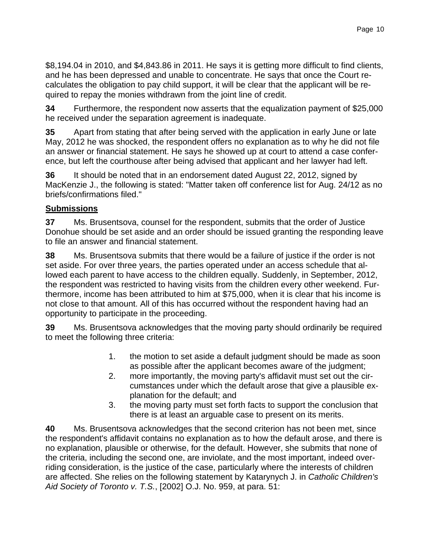\$8,194.04 in 2010, and \$4,843.86 in 2011. He says it is getting more difficult to find clients, and he has been depressed and unable to concentrate. He says that once the Court recalculates the obligation to pay child support, it will be clear that the applicant will be required to repay the monies withdrawn from the joint line of credit.

**34** Furthermore, the respondent now asserts that the equalization payment of \$25,000 he received under the separation agreement is inadequate.

**35** Apart from stating that after being served with the application in early June or late May, 2012 he was shocked, the respondent offers no explanation as to why he did not file an answer or financial statement. He says he showed up at court to attend a case conference, but left the courthouse after being advised that applicant and her lawyer had left.

**36** It should be noted that in an endorsement dated August 22, 2012, signed by MacKenzie J., the following is stated: "Matter taken off conference list for Aug. 24/12 as no briefs/confirmations filed."

### **Submissions**

**37** Ms. Brusentsova, counsel for the respondent, submits that the order of Justice Donohue should be set aside and an order should be issued granting the responding leave to file an answer and financial statement.

**38** Ms. Brusentsova submits that there would be a failure of justice if the order is not set aside. For over three years, the parties operated under an access schedule that allowed each parent to have access to the children equally. Suddenly, in September, 2012, the respondent was restricted to having visits from the children every other weekend. Furthermore, income has been attributed to him at \$75,000, when it is clear that his income is not close to that amount. All of this has occurred without the respondent having had an opportunity to participate in the proceeding.

**39** Ms. Brusentsova acknowledges that the moving party should ordinarily be required to meet the following three criteria:

- 1. the motion to set aside a default judgment should be made as soon as possible after the applicant becomes aware of the judgment;
- 2. more importantly, the moving party's affidavit must set out the circumstances under which the default arose that give a plausible explanation for the default; and
- 3. the moving party must set forth facts to support the conclusion that there is at least an arguable case to present on its merits.

**40** Ms. Brusentsova acknowledges that the second criterion has not been met, since the respondent's affidavit contains no explanation as to how the default arose, and there is no explanation, plausible or otherwise, for the default. However, she submits that none of the criteria, including the second one, are inviolate, and the most important, indeed overriding consideration, is the justice of the case, particularly where the interests of children are affected. She relies on the following statement by Katarynych J. in *Catholic Children's Aid Society of Toronto v. T.S.*, [2002] O.J. No. 959, at para. 51: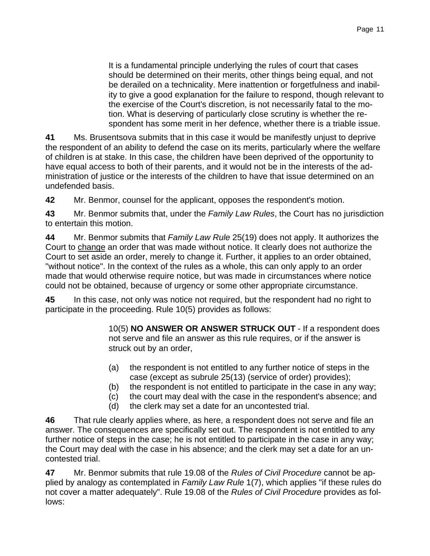It is a fundamental principle underlying the rules of court that cases should be determined on their merits, other things being equal, and not be derailed on a technicality. Mere inattention or forgetfulness and inability to give a good explanation for the failure to respond, though relevant to the exercise of the Court's discretion, is not necessarily fatal to the motion. What is deserving of particularly close scrutiny is whether the respondent has some merit in her defence, whether there is a triable issue.

**41** Ms. Brusentsova submits that in this case it would be manifestly unjust to deprive the respondent of an ability to defend the case on its merits, particularly where the welfare of children is at stake. In this case, the children have been deprived of the opportunity to have equal access to both of their parents, and it would not be in the interests of the administration of justice or the interests of the children to have that issue determined on an undefended basis.

**42** Mr. Benmor, counsel for the applicant, opposes the respondent's motion.

**43** Mr. Benmor submits that, under the *Family Law Rules*, the Court has no jurisdiction to entertain this motion.

**44** Mr. Benmor submits that *Family Law Rule* 25(19) does not apply. It authorizes the Court to change an order that was made without notice. It clearly does not authorize the Court to set aside an order, merely to change it. Further, it applies to an order obtained, "without notice". In the context of the rules as a whole, this can only apply to an order made that would otherwise require notice, but was made in circumstances where notice could not be obtained, because of urgency or some other appropriate circumstance.

**45** In this case, not only was notice not required, but the respondent had no right to participate in the proceeding. Rule 10(5) provides as follows:

> 10(5) **NO ANSWER OR ANSWER STRUCK OUT** - If a respondent does not serve and file an answer as this rule requires, or if the answer is struck out by an order,

- (a) the respondent is not entitled to any further notice of steps in the case (except as subrule 25(13) (service of order) provides);
- (b) the respondent is not entitled to participate in the case in any way;
- (c) the court may deal with the case in the respondent's absence; and
- (d) the clerk may set a date for an uncontested trial.

**46** That rule clearly applies where, as here, a respondent does not serve and file an answer. The consequences are specifically set out. The respondent is not entitled to any further notice of steps in the case; he is not entitled to participate in the case in any way; the Court may deal with the case in his absence; and the clerk may set a date for an uncontested trial.

**47** Mr. Benmor submits that rule 19.08 of the *Rules of Civil Procedure* cannot be applied by analogy as contemplated in *Family Law Rule* 1(7), which applies "if these rules do not cover a matter adequately". Rule 19.08 of the *Rules of Civil Procedure* provides as follows: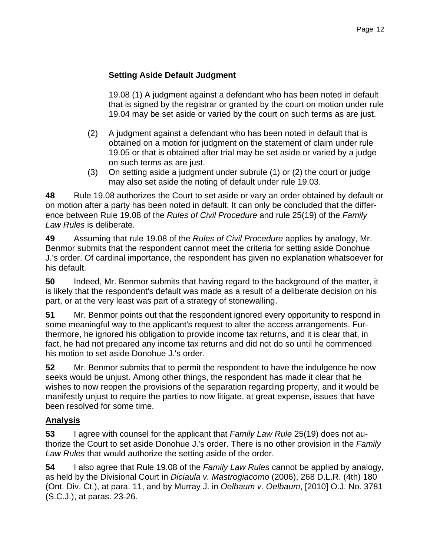## **Setting Aside Default Judgment**

 19.08 (1) A judgment against a defendant who has been noted in default that is signed by the registrar or granted by the court on motion under rule 19.04 may be set aside or varied by the court on such terms as are just.

- (2) A judgment against a defendant who has been noted in default that is obtained on a motion for judgment on the statement of claim under rule 19.05 or that is obtained after trial may be set aside or varied by a judge on such terms as are just.
- (3) On setting aside a judgment under subrule (1) or (2) the court or judge may also set aside the noting of default under rule 19.03.

**48** Rule 19.08 authorizes the Court to set aside or vary an order obtained by default or on motion after a party has been noted in default. It can only be concluded that the difference between Rule 19.08 of the *Rules of Civil Procedure* and rule 25(19) of the *Family Law Rules* is deliberate.

**49** Assuming that rule 19.08 of the *Rules of Civil Procedure* applies by analogy, Mr. Benmor submits that the respondent cannot meet the criteria for setting aside Donohue J.'s order. Of cardinal importance, the respondent has given no explanation whatsoever for his default.

**50** Indeed, Mr. Benmor submits that having regard to the background of the matter, it is likely that the respondent's default was made as a result of a deliberate decision on his part, or at the very least was part of a strategy of stonewalling.

**51** Mr. Benmor points out that the respondent ignored every opportunity to respond in some meaningful way to the applicant's request to alter the access arrangements. Furthermore, he ignored his obligation to provide income tax returns, and it is clear that, in fact, he had not prepared any income tax returns and did not do so until he commenced his motion to set aside Donohue J.'s order.

**52** Mr. Benmor submits that to permit the respondent to have the indulgence he now seeks would be unjust. Among other things, the respondent has made it clear that he wishes to now reopen the provisions of the separation regarding property, and it would be manifestly unjust to require the parties to now litigate, at great expense, issues that have been resolved for some time.

# **Analysis**

**53** I agree with counsel for the applicant that *Family Law Rule* 25(19) does not authorize the Court to set aside Donohue J.'s order. There is no other provision in the *Family Law Rules* that would authorize the setting aside of the order.

**54** I also agree that Rule 19.08 of the *Family Law Rules* cannot be applied by analogy, as held by the Divisional Court in *Diciaula v. Mastrogiacomo* (2006), 268 D.L.R. (4th) 180 (Ont. Div. Ct.), at para. 11, and by Murray J. in *Oelbaum v. Oelbaum*, [2010] O.J. No. 3781 (S.C.J.), at paras. 23-26.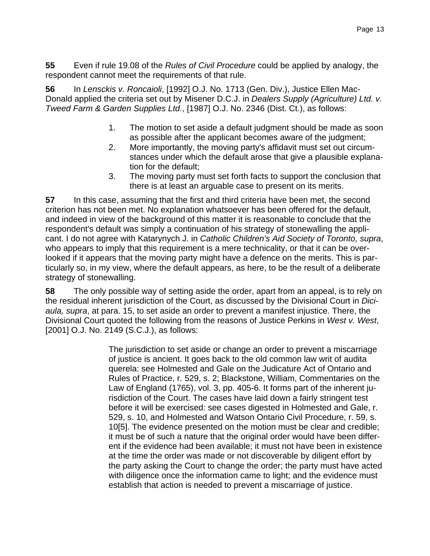**55** Even if rule 19.08 of the *Rules of Civil Procedure* could be applied by analogy, the respondent cannot meet the requirements of that rule.

**56** In *Lensckis v. Roncaioli*, [1992] O.J. No. 1713 (Gen. Div.), Justice Ellen Mac-Donald applied the criteria set out by Misener D.C.J. in *Dealers Supply (Agriculture) Ltd. v. Tweed Farm & Garden Supplies Ltd.*, [1987] O.J. No. 2346 (Dist. Ct.), as follows:

- 1. The motion to set aside a default judgment should be made as soon as possible after the applicant becomes aware of the judgment;
- 2. More importantly, the moving party's affidavit must set out circumstances under which the default arose that give a plausible explanation for the default;
- 3. The moving party must set forth facts to support the conclusion that there is at least an arguable case to present on its merits.

**57** In this case, assuming that the first and third criteria have been met, the second criterion has not been met. No explanation whatsoever has been offered for the default, and indeed in view of the background of this matter it is reasonable to conclude that the respondent's default was simply a continuation of his strategy of stonewalling the applicant. I do not agree with Katarynych J. in *Catholic Children's Aid Society of Toronto, supra*, who appears to imply that this requirement is a mere technicality, or that it can be overlooked if it appears that the moving party might have a defence on the merits. This is particularly so, in my view, where the default appears, as here, to be the result of a deliberate strategy of stonewalling.

**58** The only possible way of setting aside the order, apart from an appeal, is to rely on the residual inherent jurisdiction of the Court, as discussed by the Divisional Court in *Diciaula, supra*, at para. 15, to set aside an order to prevent a manifest injustice. There, the Divisional Court quoted the following from the reasons of Justice Perkins in *West v. West*, [2001] O.J. No. 2149 (S.C.J.), as follows:

> The jurisdiction to set aside or change an order to prevent a miscarriage of justice is ancient. It goes back to the old common law writ of audita querela: see Holmested and Gale on the Judicature Act of Ontario and Rules of Practice, r. 529, s. 2; Blackstone, William, Commentaries on the Law of England (1765), vol. 3, pp. 405-6. It forms part of the inherent jurisdiction of the Court. The cases have laid down a fairly stringent test before it will be exercised: see cases digested in Holmested and Gale, r. 529, s. 10, and Holmested and Watson Ontario Civil Procedure, r. 59, s. 10[5]. The evidence presented on the motion must be clear and credible; it must be of such a nature that the original order would have been different if the evidence had been available; it must not have been in existence at the time the order was made or not discoverable by diligent effort by the party asking the Court to change the order; the party must have acted with diligence once the information came to light; and the evidence must establish that action is needed to prevent a miscarriage of justice.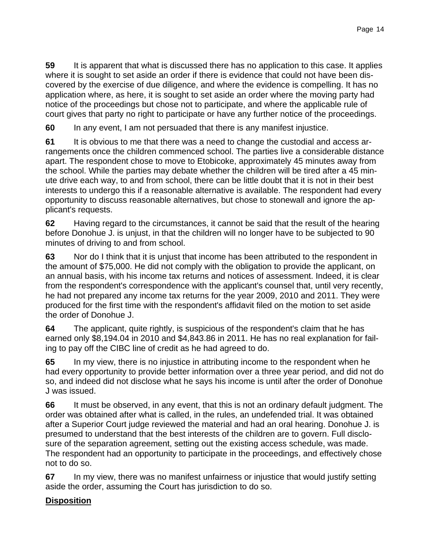**59** It is apparent that what is discussed there has no application to this case. It applies where it is sought to set aside an order if there is evidence that could not have been discovered by the exercise of due diligence, and where the evidence is compelling. It has no application where, as here, it is sought to set aside an order where the moving party had notice of the proceedings but chose not to participate, and where the applicable rule of court gives that party no right to participate or have any further notice of the proceedings.

**60** In any event, I am not persuaded that there is any manifest injustice.

**61** It is obvious to me that there was a need to change the custodial and access arrangements once the children commenced school. The parties live a considerable distance apart. The respondent chose to move to Etobicoke, approximately 45 minutes away from the school. While the parties may debate whether the children will be tired after a 45 minute drive each way, to and from school, there can be little doubt that it is not in their best interests to undergo this if a reasonable alternative is available. The respondent had every opportunity to discuss reasonable alternatives, but chose to stonewall and ignore the applicant's requests.

**62** Having regard to the circumstances, it cannot be said that the result of the hearing before Donohue J. is unjust, in that the children will no longer have to be subjected to 90 minutes of driving to and from school.

**63** Nor do I think that it is unjust that income has been attributed to the respondent in the amount of \$75,000. He did not comply with the obligation to provide the applicant, on an annual basis, with his income tax returns and notices of assessment. Indeed, it is clear from the respondent's correspondence with the applicant's counsel that, until very recently, he had not prepared any income tax returns for the year 2009, 2010 and 2011. They were produced for the first time with the respondent's affidavit filed on the motion to set aside the order of Donohue J.

**64** The applicant, quite rightly, is suspicious of the respondent's claim that he has earned only \$8,194.04 in 2010 and \$4,843.86 in 2011. He has no real explanation for failing to pay off the CIBC line of credit as he had agreed to do.

**65** In my view, there is no injustice in attributing income to the respondent when he had every opportunity to provide better information over a three year period, and did not do so, and indeed did not disclose what he says his income is until after the order of Donohue J was issued.

**66** It must be observed, in any event, that this is not an ordinary default judgment. The order was obtained after what is called, in the rules, an undefended trial. It was obtained after a Superior Court judge reviewed the material and had an oral hearing. Donohue J. is presumed to understand that the best interests of the children are to govern. Full disclosure of the separation agreement, setting out the existing access schedule, was made. The respondent had an opportunity to participate in the proceedings, and effectively chose not to do so.

**67** In my view, there was no manifest unfairness or injustice that would justify setting aside the order, assuming the Court has jurisdiction to do so.

## **Disposition**